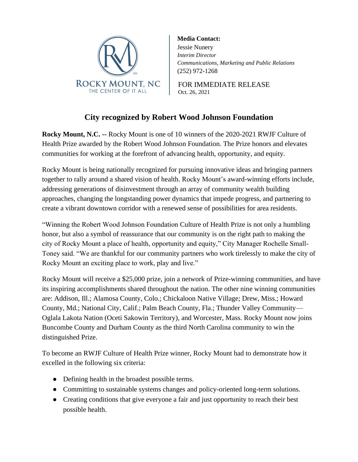

**Media Contact:** Jessie Nunery *Interim Director Communications, Marketing and Public Relations* (252) 972-1268

FOR IMMEDIATE RELEASE Oct. 26, 2021

## **City recognized by Robert Wood Johnson Foundation**

**Rocky Mount, N.C. --** Rocky Mount is one of 10 winners of the 2020-2021 RWJF Culture of Health Prize awarded by the Robert Wood Johnson Foundation. The Prize honors and elevates communities for working at the forefront of advancing health, opportunity, and equity.

Rocky Mount is being nationally recognized for pursuing innovative ideas and bringing partners together to rally around a shared vision of health. Rocky Mount's award-winning efforts include, addressing generations of disinvestment through an array of community wealth building approaches, changing the longstanding power dynamics that impede progress, and partnering to create a vibrant downtown corridor with a renewed sense of possibilities for area residents.

"Winning the Robert Wood Johnson Foundation Culture of Health Prize is not only a humbling honor, but also a symbol of reassurance that our community is on the right path to making the city of Rocky Mount a place of health, opportunity and equity," City Manager Rochelle Small-Toney said. "We are thankful for our community partners who work tirelessly to make the city of Rocky Mount an exciting place to work, play and live."

Rocky Mount will receive a \$25,000 prize, join a network of Prize-winning communities, and have its inspiring accomplishments shared throughout the nation. The other nine winning communities are: Addison, Ill.; Alamosa County, Colo.; Chickaloon Native Village; Drew, Miss.; Howard County, Md.; National City, Calif.; Palm Beach County, Fla.; Thunder Valley Community— Oglala Lakota Nation (Oceti Sakowin Territory), and Worcester, Mass. Rocky Mount now joins Buncombe County and Durham County as the third North Carolina community to win the distinguished Prize.

To become an RWJF Culture of Health Prize winner, Rocky Mount had to demonstrate how it excelled in the following six criteria:

- Defining health in the broadest possible terms.
- Committing to sustainable systems changes and policy-oriented long-term solutions.
- Creating conditions that give everyone a fair and just opportunity to reach their best possible health.